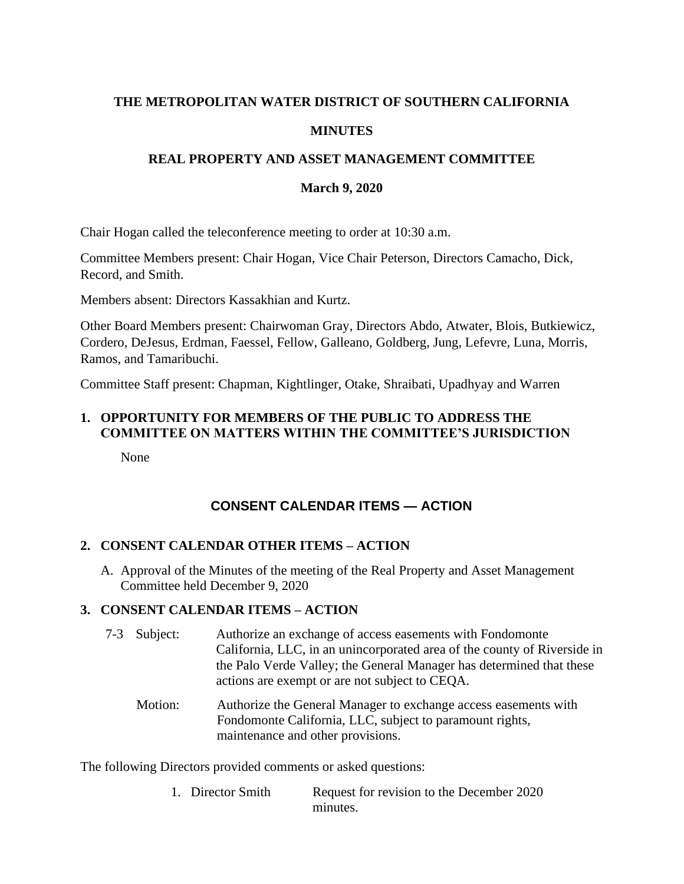# **THE METROPOLITAN WATER DISTRICT OF SOUTHERN CALIFORNIA MINUTES**

### **REAL PROPERTY AND ASSET MANAGEMENT COMMITTEE**

#### **March 9, 2020**

Chair Hogan called the teleconference meeting to order at 10:30 a.m.

Committee Members present: Chair Hogan, Vice Chair Peterson, Directors Camacho, Dick, Record, and Smith.

Members absent: Directors Kassakhian and Kurtz.

Other Board Members present: Chairwoman Gray, Directors Abdo, Atwater, Blois, Butkiewicz, Cordero, DeJesus, Erdman, Faessel, Fellow, Galleano, Goldberg, Jung, Lefevre, Luna, Morris, Ramos, and Tamaribuchi.

Committee Staff present: Chapman, Kightlinger, Otake, Shraibati, Upadhyay and Warren

# **1. OPPORTUNITY FOR MEMBERS OF THE PUBLIC TO ADDRESS THE COMMITTEE ON MATTERS WITHIN THE COMMITTEE'S JURISDICTION**

None

# **CONSENT CALENDAR ITEMS — ACTION**

#### **2. CONSENT CALENDAR OTHER ITEMS – ACTION**

A. Approval of the Minutes of the meeting of the Real Property and Asset Management Committee held December 9, 2020

#### **3. CONSENT CALENDAR ITEMS – ACTION**

- 7-3 Subject: Authorize an exchange of access easements with Fondomonte California, LLC, in an unincorporated area of the county of Riverside in the Palo Verde Valley; the General Manager has determined that these actions are exempt or are not subject to CEQA.
	- Motion: Authorize the General Manager to exchange access easements with Fondomonte California, LLC, subject to paramount rights, maintenance and other provisions.

The following Directors provided comments or asked questions:

1. Director Smith Request for revision to the December 2020 minutes.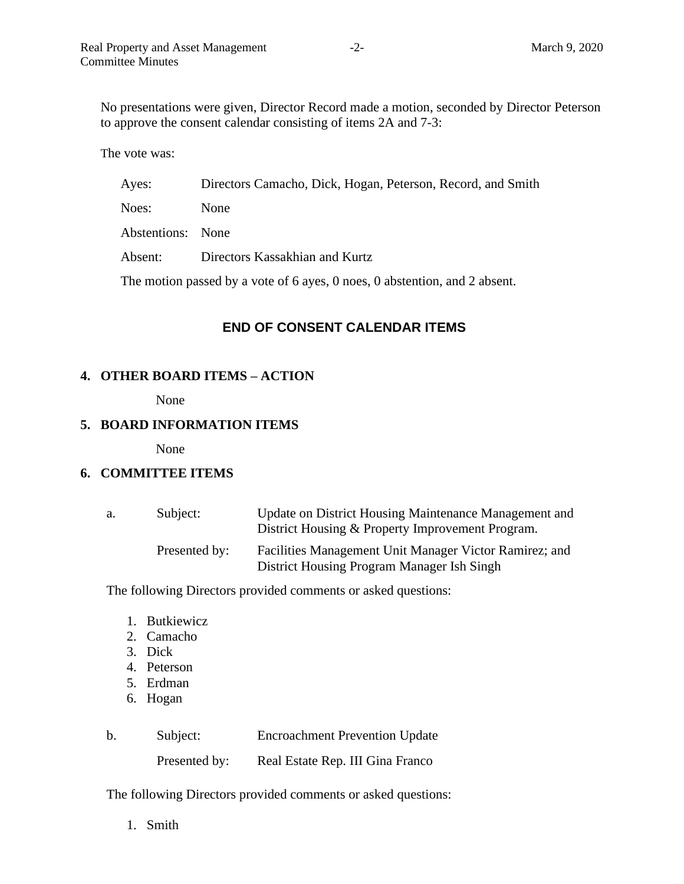No presentations were given, Director Record made a motion, seconded by Director Peterson to approve the consent calendar consisting of items 2A and 7-3:

The vote was:

| Ayes:                                                                      | Directors Camacho, Dick, Hogan, Peterson, Record, and Smith |  |  |
|----------------------------------------------------------------------------|-------------------------------------------------------------|--|--|
| Noes:                                                                      | <b>None</b>                                                 |  |  |
| Abstentions: None                                                          |                                                             |  |  |
| Absent:                                                                    | Directors Kassakhian and Kurtz                              |  |  |
| The motion passed by a vote of 6 ayes, 0 noes, 0 abstention, and 2 absent. |                                                             |  |  |

#### **END OF CONSENT CALENDAR ITEMS**

#### **4. OTHER BOARD ITEMS – ACTION**

None

#### **5. BOARD INFORMATION ITEMS**

None

#### **6. COMMITTEE ITEMS**

| а. | Subject:      | Update on District Housing Maintenance Management and<br>District Housing & Property Improvement Program. |
|----|---------------|-----------------------------------------------------------------------------------------------------------|
|    | Presented by: | Facilities Management Unit Manager Victor Ramirez; and<br>District Housing Program Manager Ish Singh      |

The following Directors provided comments or asked questions:

- 1. Butkiewicz
- 2. Camacho
- 3. Dick
- 4. Peterson
- 5. Erdman
- 6. Hogan

| $\mathbf b$ | Subject:      | <b>Encroachment Prevention Update</b> |
|-------------|---------------|---------------------------------------|
|             | Presented by: | Real Estate Rep. III Gina Franco      |

The following Directors provided comments or asked questions:

1. Smith